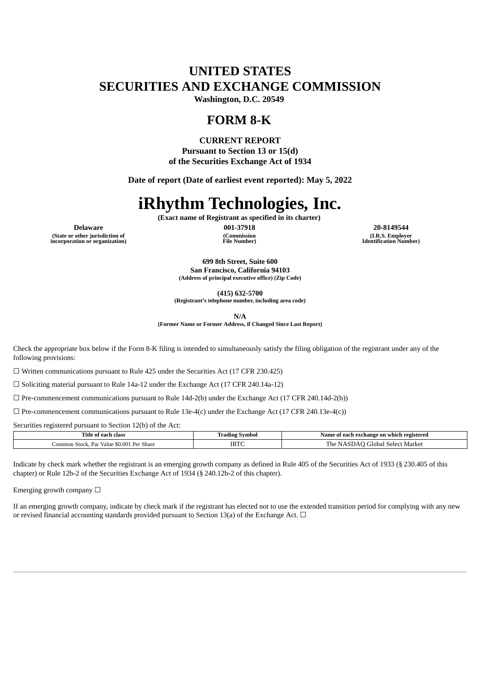# **UNITED STATES SECURITIES AND EXCHANGE COMMISSION**

**Washington, D.C. 20549**

# **FORM 8-K**

**CURRENT REPORT**

**Pursuant to Section 13 or 15(d) of the Securities Exchange Act of 1934**

**Date of report (Date of earliest event reported): May 5, 2022**

# **iRhythm Technologies, Inc.**

**(Exact name of Registrant as specified in its charter)**

**(State or other jurisdiction of incorporation or organization)** **(Commission File Number)**

**Delaware 001-37918 20-8149544 (I.R.S. Employer Identification Number)**

> **699 8th Street, Suite 600 San Francisco, California 94103 (Address of principal executive office) (Zip Code)**

> > **(415) 632-5700**

**(Registrant's telephone number, including area code)**

**N/A**

**(Former Name or Former Address, if Changed Since Last Report)**

Check the appropriate box below if the Form 8-K filing is intended to simultaneously satisfy the filing obligation of the registrant under any of the following provisions:

☐ Written communications pursuant to Rule 425 under the Securities Act (17 CFR 230.425)

☐ Soliciting material pursuant to Rule 14a-12 under the Exchange Act (17 CFR 240.14a-12)

 $\Box$  Pre-commencement communications pursuant to Rule 14d-2(b) under the Exchange Act (17 CFR 240.14d-2(b))

 $\Box$  Pre-commencement communications pursuant to Rule 13e-4(c) under the Exchange Act (17 CFR 240.13e-4(c))

Securities registered pursuant to Section 12(b) of the Act:

| ∣`itle<br>clas<br>oт                                                           | Symbol<br>adın | registered<br>Name<br>exchange<br>≀ on which<br>eact |
|--------------------------------------------------------------------------------|----------------|------------------------------------------------------|
| .00<br>$\mathbf{D}$<br>.ommc<br>Value<br>Do<br>Share<br>-stock<br>$\mathbf{r}$ | <b>IRT</b>     | The<br>Market<br>' ilobal<br>Selec                   |

Indicate by check mark whether the registrant is an emerging growth company as defined in Rule 405 of the Securities Act of 1933 (§ 230.405 of this chapter) or Rule 12b-2 of the Securities Exchange Act of 1934 (§ 240.12b-2 of this chapter).

Emerging growth company  $\Box$ 

If an emerging growth company, indicate by check mark if the registrant has elected not to use the extended transition period for complying with any new or revised financial accounting standards provided pursuant to Section 13(a) of the Exchange Act.  $\Box$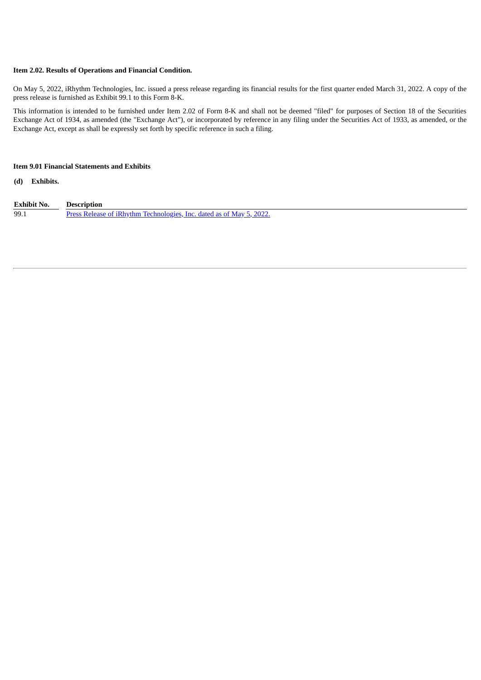#### **Item 2.02. Results of Operations and Financial Condition.**

On May 5, 2022, iRhythm Technologies, Inc. issued a press release regarding its financial results for the first quarter ended March 31, 2022. A copy of the press release is furnished as Exhibit 99.1 to this Form 8-K.

This information is intended to be furnished under Item 2.02 of Form 8-K and shall not be deemed "filed" for purposes of Section 18 of the Securities Exchange Act of 1934, as amended (the "Exchange Act"), or incorporated by reference in any filing under the Securities Act of 1933, as amended, or the Exchange Act, except as shall be expressly set forth by specific reference in such a filing.

## **Item 9.01 Financial Statements and Exhibits**

**(d) Exhibits.**

| Exhibit No. | <b>Description</b>                                                   |
|-------------|----------------------------------------------------------------------|
| 99.1        | Press Release of iRhythm Technologies, Inc. dated as of May 5, 2022. |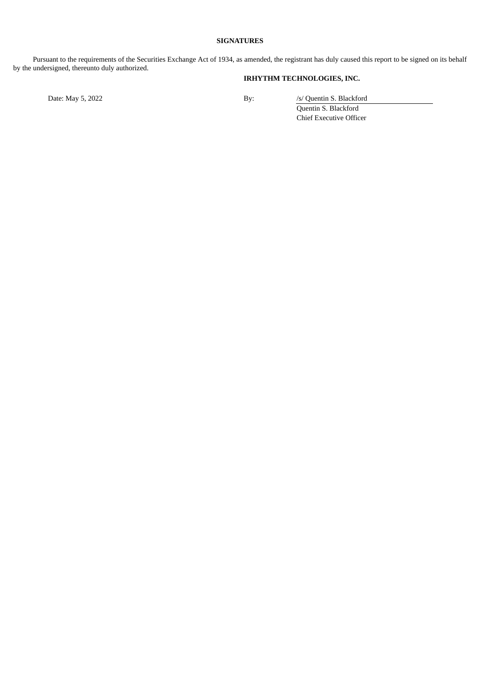# **SIGNATURES**

Pursuant to the requirements of the Securities Exchange Act of 1934, as amended, the registrant has duly caused this report to be signed on its behalf by the undersigned, thereunto duly authorized.

# **IRHYTHM TECHNOLOGIES, INC.**

Date: May 5, 2022 By: /s/ Quentin S. Blackford Quentin S. Blackford Chief Executive Officer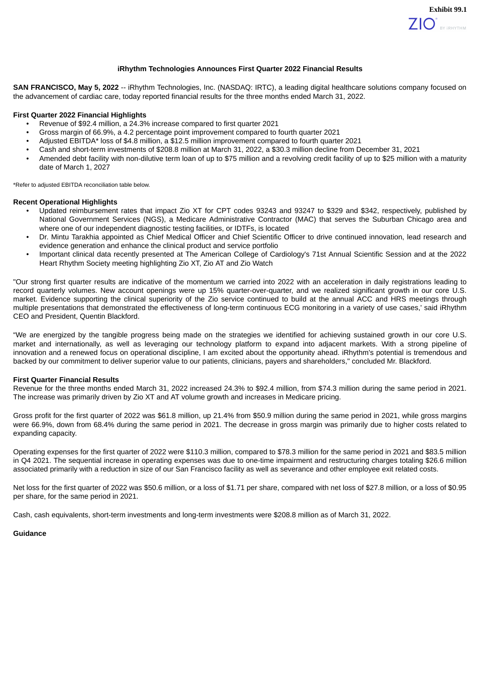#### **iRhythm Technologies Announces First Quarter 2022 Financial Results**

<span id="page-3-0"></span>**SAN FRANCISCO, May 5, 2022** -- iRhythm Technologies, Inc. (NASDAQ: IRTC), a leading digital healthcare solutions company focused on the advancement of cardiac care, today reported financial results for the three months ended March 31, 2022.

#### **First Quarter 2022 Financial Highlights**

- Revenue of \$92.4 million, a 24.3% increase compared to first quarter 2021
- Gross margin of 66.9%, a 4.2 percentage point improvement compared to fourth quarter 2021
- Adjusted EBITDA\* loss of \$4.8 million, a \$12.5 million improvement compared to fourth quarter 2021
- Cash and short-term investments of \$208.8 million at March 31, 2022, a \$30.3 million decline from December 31, 2021
- Amended debt facility with non-dilutive term loan of up to \$75 million and a revolving credit facility of up to \$25 million with a maturity date of March 1, 2027

\*Refer to adjusted EBITDA reconciliation table below.

#### **Recent Operational Highlights**

- Updated reimbursement rates that impact Zio XT for CPT codes 93243 and 93247 to \$329 and \$342, respectively, published by National Government Services (NGS), a Medicare Administrative Contractor (MAC) that serves the Suburban Chicago area and where one of our independent diagnostic testing facilities, or IDTFs, is located
- Dr. Mintu Tarakhia appointed as Chief Medical Officer and Chief Scientific Officer to drive continued innovation, lead research and evidence generation and enhance the clinical product and service portfolio
- Important clinical data recently presented at The American College of Cardiology's 71st Annual Scientific Session and at the 2022 Heart Rhythm Society meeting highlighting Zio XT, Zio AT and Zio Watch

"Our strong first quarter results are indicative of the momentum we carried into 2022 with an acceleration in daily registrations leading to record quarterly volumes. New account openings were up 15% quarter-over-quarter, and we realized significant growth in our core U.S. market. Evidence supporting the clinical superiority of the Zio service continued to build at the annual ACC and HRS meetings through multiple presentations that demonstrated the effectiveness of long-term continuous ECG monitoring in a variety of use cases,' said iRhythm CEO and President, Quentin Blackford.

"We are energized by the tangible progress being made on the strategies we identified for achieving sustained growth in our core U.S. market and internationally, as well as leveraging our technology platform to expand into adjacent markets. With a strong pipeline of innovation and a renewed focus on operational discipline, I am excited about the opportunity ahead. iRhythm's potential is tremendous and backed by our commitment to deliver superior value to our patients, clinicians, payers and shareholders," concluded Mr. Blackford.

#### **First Quarter Financial Results**

Revenue for the three months ended March 31, 2022 increased 24.3% to \$92.4 million, from \$74.3 million during the same period in 2021. The increase was primarily driven by Zio XT and AT volume growth and increases in Medicare pricing.

Gross profit for the first quarter of 2022 was \$61.8 million, up 21.4% from \$50.9 million during the same period in 2021, while gross margins were 66.9%, down from 68.4% during the same period in 2021. The decrease in gross margin was primarily due to higher costs related to expanding capacity.

Operating expenses for the first quarter of 2022 were \$110.3 million, compared to \$78.3 million for the same period in 2021 and \$83.5 million in Q4 2021. The sequential increase in operating expenses was due to one-time impairment and restructuring charges totaling \$26.6 million associated primarily with a reduction in size of our San Francisco facility as well as severance and other employee exit related costs.

Net loss for the first quarter of 2022 was \$50.6 million, or a loss of \$1.71 per share, compared with net loss of \$27.8 million, or a loss of \$0.95 per share, for the same period in 2021.

Cash, cash equivalents, short-term investments and long-term investments were \$208.8 million as of March 31, 2022.

#### **Guidance**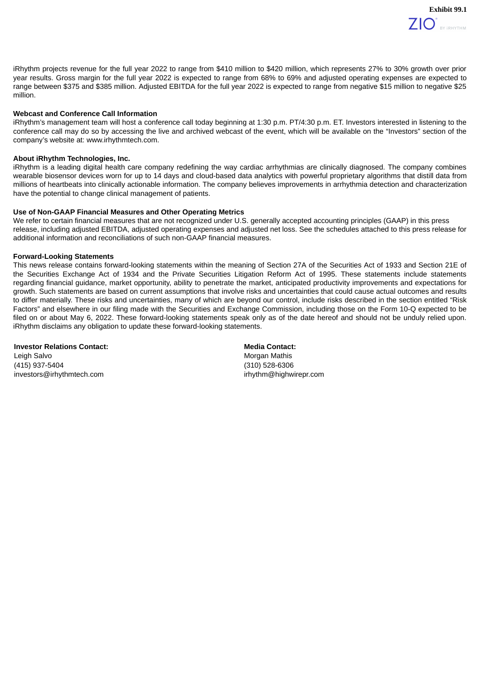

**Exhibit 99.1**

iRhythm projects revenue for the full year 2022 to range from \$410 million to \$420 million, which represents 27% to 30% growth over prior year results. Gross margin for the full year 2022 is expected to range from 68% to 69% and adjusted operating expenses are expected to range between \$375 and \$385 million. Adjusted EBITDA for the full year 2022 is expected to range from negative \$15 million to negative \$25 million.

### **Webcast and Conference Call Information**

iRhythm's management team will host a conference call today beginning at 1:30 p.m. PT/4:30 p.m. ET. Investors interested in listening to the conference call may do so by accessing the live and archived webcast of the event, which will be available on the "Investors" section of the company's website at: www.irhythmtech.com.

#### **About iRhythm Technologies, Inc.**

iRhythm is a leading digital health care company redefining the way cardiac arrhythmias are clinically diagnosed. The company combines wearable biosensor devices worn for up to 14 days and cloud-based data analytics with powerful proprietary algorithms that distill data from millions of heartbeats into clinically actionable information. The company believes improvements in arrhythmia detection and characterization have the potential to change clinical management of patients.

#### **Use of Non-GAAP Financial Measures and Other Operating Metrics**

We refer to certain financial measures that are not recognized under U.S. generally accepted accounting principles (GAAP) in this press release, including adjusted EBITDA, adjusted operating expenses and adjusted net loss. See the schedules attached to this press release for additional information and reconciliations of such non-GAAP financial measures.

#### **Forward-Looking Statements**

This news release contains forward-looking statements within the meaning of Section 27A of the Securities Act of 1933 and Section 21E of the Securities Exchange Act of 1934 and the Private Securities Litigation Reform Act of 1995. These statements include statements regarding financial guidance, market opportunity, ability to penetrate the market, anticipated productivity improvements and expectations for growth. Such statements are based on current assumptions that involve risks and uncertainties that could cause actual outcomes and results to differ materially. These risks and uncertainties, many of which are beyond our control, include risks described in the section entitled "Risk Factors" and elsewhere in our filing made with the Securities and Exchange Commission, including those on the Form 10-Q expected to be filed on or about May 6, 2022. These forward-looking statements speak only as of the date hereof and should not be unduly relied upon. iRhythm disclaims any obligation to update these forward-looking statements.

**Investor Relations Contact: Media** Contact: **Media** Contact: Leigh Salvo **Morgan Mathis** Contract Contract Contract Contract Contract Contract Contract Contract Contract Contract Contract Contract Contract Contract Contract Contract Contract Contract Contract Contract Contract Contr (415) 937-5404 (310) 528-6306

investors@irhythmtech.com irhythm@highwirepr.com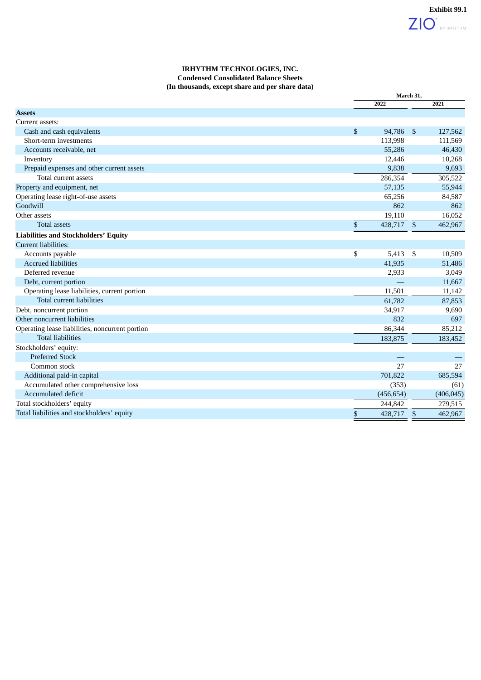|                                                 |      | March 31,  |                |            |
|-------------------------------------------------|------|------------|----------------|------------|
|                                                 |      | 2022       |                | 2021       |
| <b>Assets</b>                                   |      |            |                |            |
| Current assets:                                 |      |            |                |            |
| Cash and cash equivalents                       | \$   | 94,786     | $\mathfrak{S}$ | 127,562    |
| Short-term investments                          |      | 113,998    |                | 111,569    |
| Accounts receivable, net                        |      | 55,286     |                | 46,430     |
| Inventory                                       |      | 12,446     |                | 10,268     |
| Prepaid expenses and other current assets       |      | 9,838      |                | 9,693      |
| Total current assets                            |      | 286,354    |                | 305,522    |
| Property and equipment, net                     |      | 57,135     |                | 55,944     |
| Operating lease right-of-use assets             |      | 65,256     |                | 84,587     |
| Goodwill                                        |      | 862        |                | 862        |
| Other assets                                    |      | 19,110     |                | 16,052     |
| <b>Total assets</b>                             | $\,$ | 428,717 \$ |                | 462,967    |
| <b>Liabilities and Stockholders' Equity</b>     |      |            |                |            |
| <b>Current liabilities:</b>                     |      |            |                |            |
| Accounts payable                                | \$   | 5,413      | -\$            | 10,509     |
| <b>Accrued liabilities</b>                      |      | 41,935     |                | 51,486     |
| Deferred revenue                                |      | 2,933      |                | 3,049      |
| Debt, current portion                           |      |            |                | 11,667     |
| Operating lease liabilities, current portion    |      | 11,501     |                | 11,142     |
| Total current liabilities                       |      | 61,782     |                | 87,853     |
| Debt, noncurrent portion                        |      | 34,917     |                | 9,690      |
| Other noncurrent liabilities                    |      | 832        |                | 697        |
| Operating lease liabilities, noncurrent portion |      | 86,344     |                | 85,212     |
| <b>Total liabilities</b>                        |      | 183,875    |                | 183,452    |
| Stockholders' equity:                           |      |            |                |            |
| <b>Preferred Stock</b>                          |      |            |                |            |
| Common stock                                    |      | 27         |                | 27         |
| Additional paid-in capital                      |      | 701,822    |                | 685,594    |
| Accumulated other comprehensive loss            |      | (353)      |                | (61)       |
| Accumulated deficit                             |      | (456, 654) |                | (406, 045) |
| Total stockholders' equity                      |      | 244,842    |                | 279,515    |
| Total liabilities and stockholders' equity      | \$   | 428,717    | $\mathfrak{s}$ | 462,967    |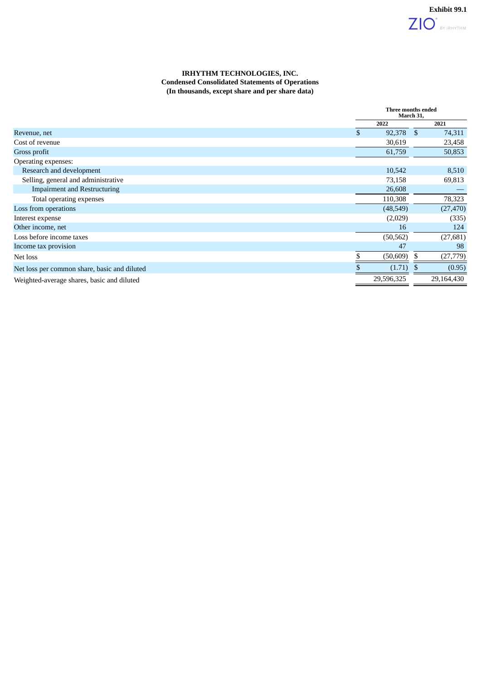# **IRHYTHM TECHNOLOGIES, INC. Condensed Consolidated Statements of Operations (In thousands, except share and per share data)**

|                                              | Three months ended<br>March 31, |            |               |            |
|----------------------------------------------|---------------------------------|------------|---------------|------------|
|                                              |                                 | 2022       |               | 2021       |
| Revenue, net                                 |                                 | 92,378     | <sup>\$</sup> | 74,311     |
| Cost of revenue                              |                                 | 30,619     |               | 23,458     |
| Gross profit                                 |                                 | 61,759     |               | 50,853     |
| Operating expenses:                          |                                 |            |               |            |
| Research and development                     |                                 | 10,542     |               | 8,510      |
| Selling, general and administrative          |                                 | 73,158     |               | 69,813     |
| <b>Impairment and Restructuring</b>          |                                 | 26,608     |               |            |
| Total operating expenses                     |                                 | 110,308    |               | 78,323     |
| Loss from operations                         |                                 | (48, 549)  |               | (27, 470)  |
| Interest expense                             |                                 | (2,029)    |               | (335)      |
| Other income, net                            |                                 | 16         |               | 124        |
| Loss before income taxes                     |                                 | (50, 562)  |               | (27, 681)  |
| Income tax provision                         |                                 | 47         |               | 98         |
| Net loss                                     |                                 | (50, 609)  | S             | (27, 779)  |
| Net loss per common share, basic and diluted |                                 | (1.71)     |               | (0.95)     |
| Weighted-average shares, basic and diluted   |                                 | 29,596,325 |               | 29,164,430 |